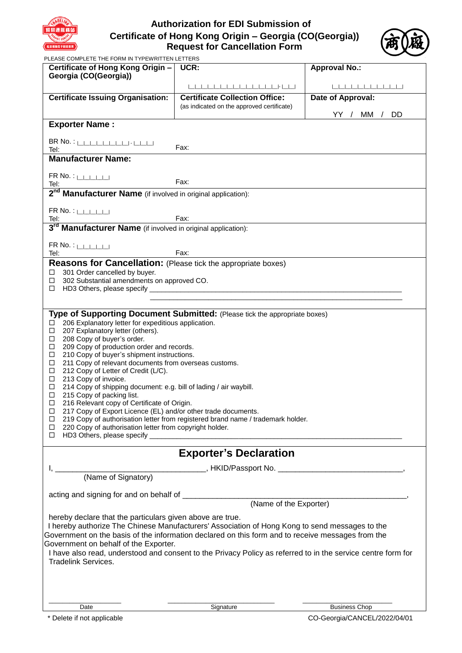

# **Authorization for EDI Submission of Certificate of Hong Kong Origin – Georgia (CO(Georgia)) Request for Cancellation Form**



|                                                                                                                       | <b>Request for Sancemation Form</b>                                                                          |                      |
|-----------------------------------------------------------------------------------------------------------------------|--------------------------------------------------------------------------------------------------------------|----------------------|
| PLEASE COMPLETE THE FORM IN TYPEWRITTEN LETTERS<br>Certificate of Hong Kong Origin -                                  | UCR:                                                                                                         | <b>Approval No.:</b> |
| Georgia (CO(Georgia))                                                                                                 |                                                                                                              |                      |
|                                                                                                                       |                                                                                                              |                      |
| <b>Certificate Issuing Organisation:</b>                                                                              | <b>Certificate Collection Office:</b>                                                                        | Date of Approval:    |
|                                                                                                                       | (as indicated on the approved certificate)                                                                   |                      |
|                                                                                                                       |                                                                                                              | YY /<br>DD.<br>MM /  |
| <b>Exporter Name:</b>                                                                                                 |                                                                                                              |                      |
|                                                                                                                       |                                                                                                              |                      |
| Tel:                                                                                                                  | Fax:                                                                                                         |                      |
| <b>Manufacturer Name:</b>                                                                                             |                                                                                                              |                      |
| $FR$ No. : $\Box$                                                                                                     |                                                                                                              |                      |
| TR NO. $\frac{1}{10}$<br>Tel:<br><b>2<sup>nd</sup> Manufacturer Name</b> (if involved in original application):       |                                                                                                              |                      |
|                                                                                                                       |                                                                                                              |                      |
|                                                                                                                       |                                                                                                              |                      |
| $FR$ No. : $\Box$                                                                                                     | Fax:                                                                                                         |                      |
| Tel: Fax: Fax: Fax: Fax: Fax: Fax: Fax: Tel: 97 <sup>d</sup> Manufacturer Name (if involved in original application): |                                                                                                              |                      |
|                                                                                                                       |                                                                                                              |                      |
| $FR$ No. : $\Box$<br>Tel:                                                                                             | Fax:                                                                                                         |                      |
| <b>Reasons for Cancellation:</b> (Please tick the appropriate boxes)                                                  |                                                                                                              |                      |
| 301 Order cancelled by buyer.<br>□                                                                                    |                                                                                                              |                      |
| 302 Substantial amendments on approved CO.<br>□                                                                       |                                                                                                              |                      |
| □                                                                                                                     |                                                                                                              |                      |
|                                                                                                                       |                                                                                                              |                      |
|                                                                                                                       | <b>Type of Supporting Document Submitted:</b> (Please tick the appropriate boxes)                            |                      |
| 206 Explanatory letter for expeditious application.<br>$\Box$                                                         |                                                                                                              |                      |
| 207 Explanatory letter (others).<br>□<br>208 Copy of buyer's order.<br>□                                              |                                                                                                              |                      |
| 209 Copy of production order and records.<br>◻                                                                        |                                                                                                              |                      |
| 210 Copy of buyer's shipment instructions.<br>◻                                                                       |                                                                                                              |                      |
| 211 Copy of relevant documents from overseas customs.<br>□                                                            |                                                                                                              |                      |
| 212 Copy of Letter of Credit (L/C).<br>□<br>213 Copy of invoice.<br>□                                                 |                                                                                                              |                      |
| 214 Copy of shipping document: e.g. bill of lading / air waybill.<br>□                                                |                                                                                                              |                      |
| $\Box$ 215 Copy of packing list.                                                                                      |                                                                                                              |                      |
| 216 Relevant copy of Certificate of Origin.<br>◻                                                                      |                                                                                                              |                      |
| 217 Copy of Export Licence (EL) and/or other trade documents.<br>□<br>□                                               | 219 Copy of authorisation letter from registered brand name / trademark holder.                              |                      |
| 220 Copy of authorisation letter from copyright holder.<br>□                                                          |                                                                                                              |                      |
| □                                                                                                                     |                                                                                                              |                      |
|                                                                                                                       | <b>Exporter's Declaration</b>                                                                                |                      |
|                                                                                                                       |                                                                                                              |                      |
|                                                                                                                       |                                                                                                              |                      |
|                                                                                                                       |                                                                                                              |                      |
|                                                                                                                       |                                                                                                              |                      |
|                                                                                                                       | (Name of the Exporter)                                                                                       |                      |
| hereby declare that the particulars given above are true.                                                             |                                                                                                              |                      |
|                                                                                                                       | I hereby authorize The Chinese Manufacturers' Association of Hong Kong to send messages to the               |                      |
|                                                                                                                       | Government on the basis of the information declared on this form and to receive messages from the            |                      |
| Government on behalf of the Exporter.                                                                                 |                                                                                                              |                      |
|                                                                                                                       | I have also read, understood and consent to the Privacy Policy as referred to in the service centre form for |                      |
| Tradelink Services.                                                                                                   |                                                                                                              |                      |
|                                                                                                                       |                                                                                                              |                      |
|                                                                                                                       |                                                                                                              |                      |
|                                                                                                                       |                                                                                                              |                      |
| Date                                                                                                                  | Signature                                                                                                    | <b>Business Chop</b> |